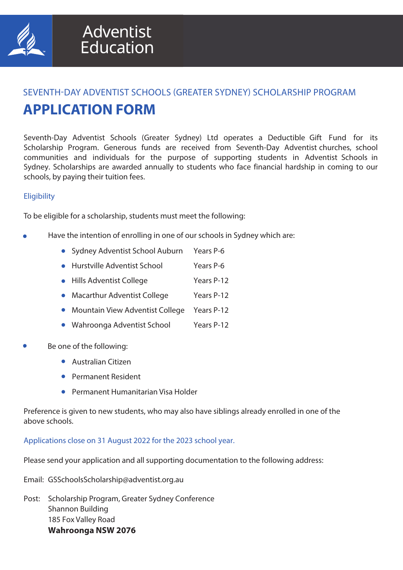

## SEVENTH-DAY ADVENTIST SCHOOLS (GREATER SYDNEY) SCHOLARSHIP PROGRAM **APPLICATION FORM**

Seventh-Day Adventist Schools (Greater Sydney) Ltd operates a Deductible Gift Fund for its Scholarship Program. Generous funds are received from Seventh-Day Adventist churches, school communities and individuals for the purpose of supporting students in Adventist Schools in Sydney. Scholarships are awarded annually to students who face financial hardship in coming to our schools, by paying their tuition fees.

## **Eligibility**

To be eligible for a scholarship, students must meet the following:

- Have the intention of enrolling in one of our schools in Sydney which are:
	- Sydney Adventist School Auburn Years P-6
	- Hurstville Adventist School Years P-6
	- Hills Adventist College Years P-12
	- Macarthur Adventist College Years P-12
	- **Mountain View Adventist College Years P-12**
	- Wahroonga Adventist School Years P-12
- Be one of the following:
	- Australian Citizen
	- **Permanent Resident**
	- Permanent Humanitarian Visa Holder

Preference is given to new students, who may also have siblings already enrolled in one of the above schools.

Applications close on 31 August 2022 for the 2023 school year.

Please send your application and all supporting documentation to the following address:

- Email: GSSchoolsScholarship@adventist.org.au
- Post: Scholarship Program, Greater Sydney Conference Shannon Building 185 Fox Valley Road **Wahroonga NSW 2076**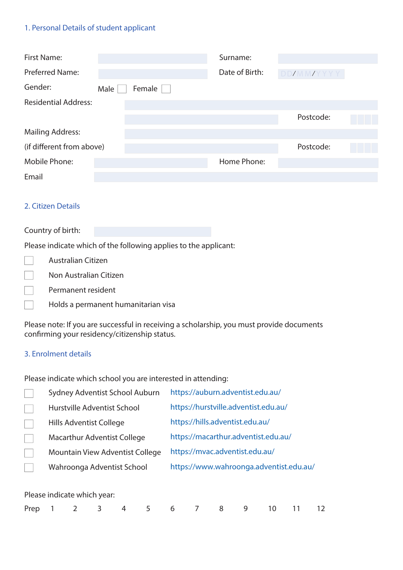## 1. Personal Details of student applicant

| First Name:                 |      |        | Surname:       |            |  |
|-----------------------------|------|--------|----------------|------------|--|
| <b>Preferred Name:</b>      |      |        | Date of Birth: | DD/MM/YYYY |  |
| Gender:                     | Male | Female |                |            |  |
| <b>Residential Address:</b> |      |        |                |            |  |
|                             |      |        |                | Postcode:  |  |
| <b>Mailing Address:</b>     |      |        |                |            |  |
| (if different from above)   |      |        |                | Postcode:  |  |
| Mobile Phone:               |      |        | Home Phone:    |            |  |
| Email                       |      |        |                |            |  |

## 2. Citizen Details

#### Country of birth:

Please indicate which of the following applies to the applicant:

| <b>Australian Citizen</b> |
|---------------------------|
| Non Australian Citizen    |

- Permanent resident  $\sim$
- $\Box$ Holds a permanent humanitarian visa

Please note: If you are successful in receiving a scholarship, you must provide documents confirming your residency/citizenship status.

#### 3. Enrolment details

Please indicate which school you are interested in attending:

| Sydney Adventist School Auburn     | https://auburn.adventist.edu.au/        |
|------------------------------------|-----------------------------------------|
| Hurstville Adventist School        | https://hurstville.adventist.edu.au/    |
| Hills Adventist College            | https://hills.adventist.edu.au/         |
| <b>Macarthur Adventist College</b> | https://macarthur.adventist.edu.au/     |
| Mountain View Adventist College    | https://mvac.adventist.edu.au/          |
| Wahroonga Adventist School         | https://www.wahroonga.adventist.edu.au/ |
|                                    |                                         |

#### Please indicate which year:

| Prep 1 2 3 4 5 6 7 8 9 10 11 12 |  |  |
|---------------------------------|--|--|
|---------------------------------|--|--|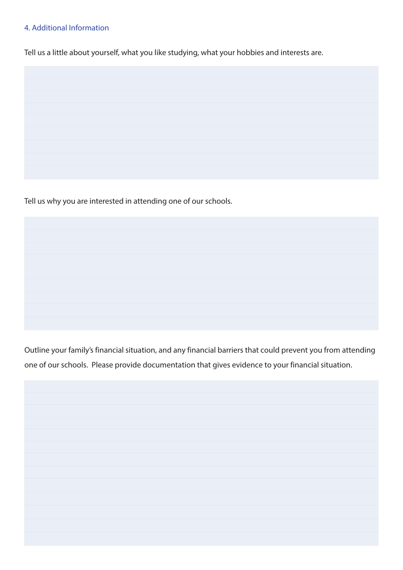## 4. Additional Information

Tell us a little about yourself, what you like studying, what your hobbies and interests are.

Tell us why you are interested in attending one of our schools.

Outline your family's financial situation, and any financial barriers that could prevent you from attending one of our schools. Please provide documentation that gives evidence to your financial situation.